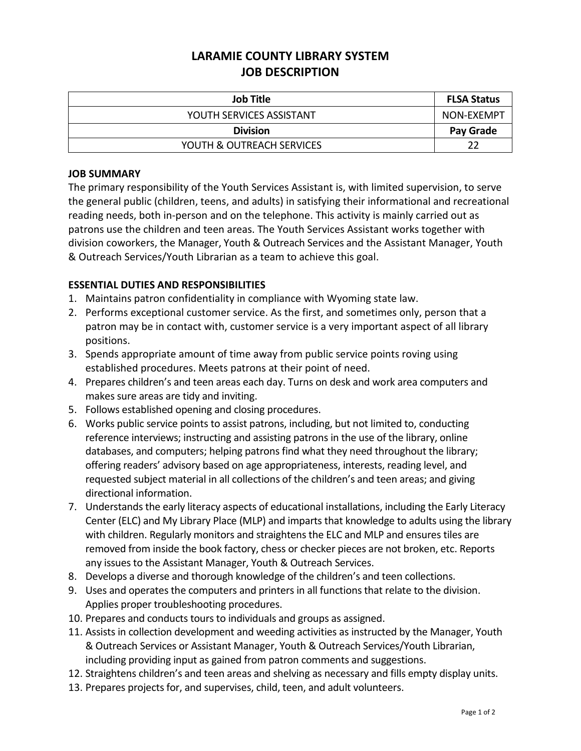# **LARAMIE COUNTY LIBRARY SYSTEM JOB DESCRIPTION**

| <b>Job Title</b>          | <b>FLSA Status</b> |
|---------------------------|--------------------|
| YOUTH SERVICES ASSISTANT  | NON-EXEMPT         |
| <b>Division</b>           | Pay Grade          |
| YOUTH & OUTREACH SERVICES |                    |

#### **JOB SUMMARY**

The primary responsibility of the Youth Services Assistant is, with limited supervision, to serve the general public (children, teens, and adults) in satisfying their informational and recreational reading needs, both in-person and on the telephone. This activity is mainly carried out as patrons use the children and teen areas. The Youth Services Assistant works together with division coworkers, the Manager, Youth & Outreach Services and the Assistant Manager, Youth & Outreach Services/Youth Librarian as a team to achieve this goal.

## **ESSENTIAL DUTIES AND RESPONSIBILITIES**

- 1. Maintains patron confidentiality in compliance with Wyoming state law.
- 2. Performs exceptional customer service. As the first, and sometimes only, person that a patron may be in contact with, customer service is a very important aspect of all library positions.
- 3. Spends appropriate amount of time away from public service points roving using established procedures. Meets patrons at their point of need.
- 4. Prepares children's and teen areas each day. Turns on desk and work area computers and makes sure areas are tidy and inviting.
- 5. Follows established opening and closing procedures.
- 6. Works public service points to assist patrons, including, but not limited to, conducting reference interviews; instructing and assisting patrons in the use of the library, online databases, and computers; helping patrons find what they need throughout the library; offering readers' advisory based on age appropriateness, interests, reading level, and requested subject material in all collections of the children's and teen areas; and giving directional information.
- 7. Understands the early literacy aspects of educational installations, including the Early Literacy Center (ELC) and My Library Place (MLP) and imparts that knowledge to adults using the library with children. Regularly monitors and straightens the ELC and MLP and ensures tiles are removed from inside the book factory, chess or checker pieces are not broken, etc. Reports any issues to the Assistant Manager, Youth & Outreach Services.
- 8. Develops a diverse and thorough knowledge of the children's and teen collections.
- 9. Uses and operates the computers and printers in all functions that relate to the division. Applies proper troubleshooting procedures.
- 10. Prepares and conducts tours to individuals and groups as assigned.
- 11. Assists in collection development and weeding activities as instructed by the Manager, Youth & Outreach Services or Assistant Manager, Youth & Outreach Services/Youth Librarian, including providing input as gained from patron comments and suggestions.
- 12. Straightens children's and teen areas and shelving as necessary and fills empty display units.
- 13. Prepares projects for, and supervises, child, teen, and adult volunteers.